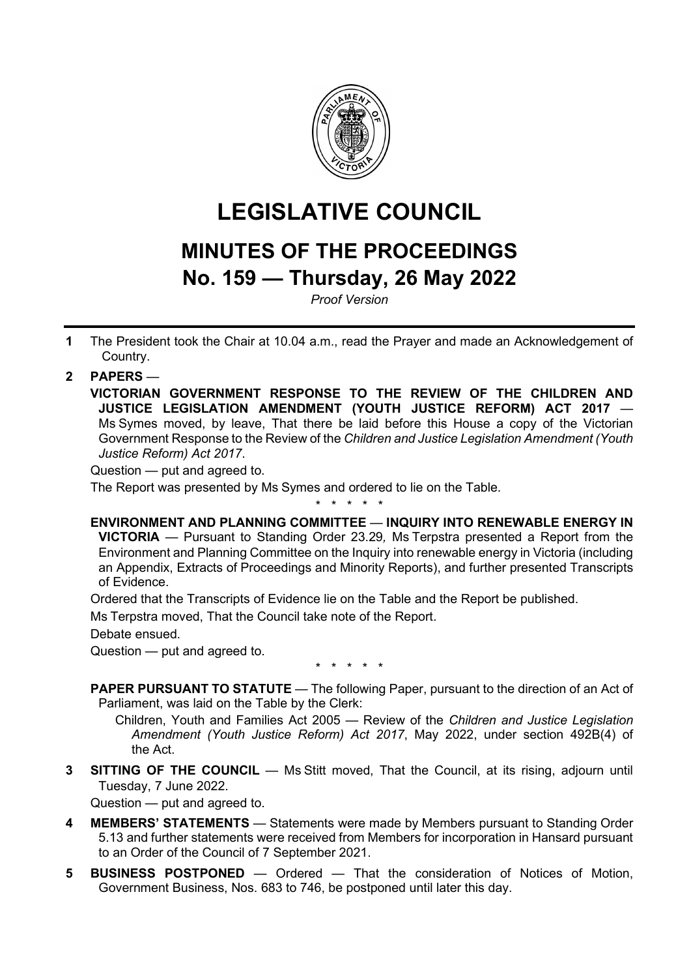

# **LEGISLATIVE COUNCIL**

## **MINUTES OF THE PROCEEDINGS No. 159 — Thursday, 26 May 2022**

*Proof Version*

**1** The President took the Chair at 10.04 a.m., read the Prayer and made an Acknowledgement of Country.

### **2 PAPERS** —

**VICTORIAN GOVERNMENT RESPONSE TO THE REVIEW OF THE CHILDREN AND JUSTICE LEGISLATION AMENDMENT (YOUTH JUSTICE REFORM) ACT 2017** — Ms Symes moved, by leave, That there be laid before this House a copy of the Victorian Government Response to the Review of the *Children and Justice Legislation Amendment (Youth Justice Reform) Act 2017*.

Question — put and agreed to.

The Report was presented by Ms Symes and ordered to lie on the Table.

\* \* \* \* \*

#### **ENVIRONMENT AND PLANNING COMMITTEE** — **INQUIRY INTO RENEWABLE ENERGY IN**

**VICTORIA** — Pursuant to Standing Order 23.29*,* Ms Terpstra presented a Report from the Environment and Planning Committee on the Inquiry into renewable energy in Victoria (including an Appendix, Extracts of Proceedings and Minority Reports), and further presented Transcripts of Evidence.

Ordered that the Transcripts of Evidence lie on the Table and the Report be published.

Ms Terpstra moved, That the Council take note of the Report.

Debate ensued.

Question — put and agreed to.

\* \* \* \* \*

**PAPER PURSUANT TO STATUTE** — The following Paper, pursuant to the direction of an Act of Parliament, was laid on the Table by the Clerk:

Children, Youth and Families Act 2005 — Review of the *Children and Justice Legislation Amendment (Youth Justice Reform) Act 2017*, May 2022, under section 492B(4) of the Act.

**3 SITTING OF THE COUNCIL** — Ms Stitt moved, That the Council, at its rising, adjourn until Tuesday, 7 June 2022.

Question — put and agreed to.

- **4 MEMBERS' STATEMENTS** Statements were made by Members pursuant to Standing Order 5.13 and further statements were received from Members for incorporation in Hansard pursuant to an Order of the Council of 7 September 2021.
- **5 BUSINESS POSTPONED** Ordered That the consideration of Notices of Motion, Government Business, Nos. 683 to 746, be postponed until later this day.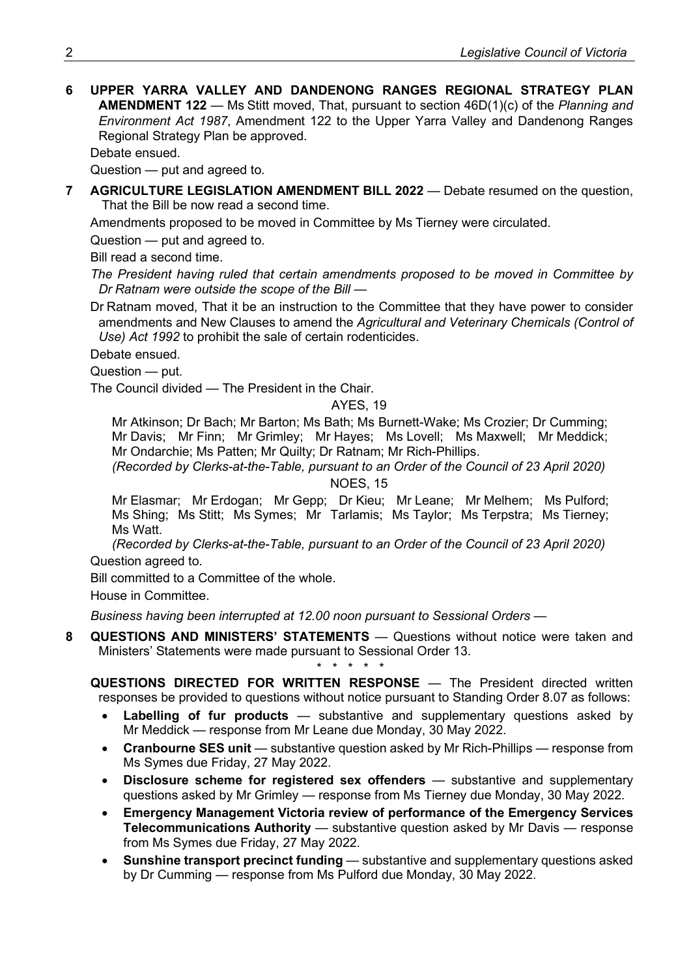**6 UPPER YARRA VALLEY AND DANDENONG RANGES REGIONAL STRATEGY PLAN AMENDMENT 122** — Ms Stitt moved, That, pursuant to section 46D(1)(c) of the *Planning and Environment Act 1987*, Amendment 122 to the Upper Yarra Valley and Dandenong Ranges Regional Strategy Plan be approved.

Debate ensued.

Question — put and agreed to.

**7 AGRICULTURE LEGISLATION AMENDMENT BILL 2022 — Debate resumed on the question,** That the Bill be now read a second time.

Amendments proposed to be moved in Committee by Ms Tierney were circulated.

Question — put and agreed to.

Bill read a second time.

*The President having ruled that certain amendments proposed to be moved in Committee by Dr Ratnam were outside the scope of the Bill —*

Dr Ratnam moved, That it be an instruction to the Committee that they have power to consider amendments and New Clauses to amend the *Agricultural and Veterinary Chemicals (Control of Use) Act 1992* to prohibit the sale of certain rodenticides.

Debate ensued.

Question — put.

The Council divided — The President in the Chair.

#### AYES<sub>19</sub>

Mr Atkinson; Dr Bach; Mr Barton; Ms Bath; Ms Burnett-Wake; Ms Crozier; Dr Cumming; Mr Davis; Mr Finn; Mr Grimley; Mr Hayes; Ms Lovell; Ms Maxwell; Mr Meddick; Mr Ondarchie; Ms Patten; Mr Quilty; Dr Ratnam; Mr Rich-Phillips.

*(Recorded by Clerks-at-the-Table, pursuant to an Order of the Council of 23 April 2020)* NOES, 15

Mr Elasmar; Mr Erdogan; Mr Gepp; Dr Kieu; Mr Leane; Mr Melhem; Ms Pulford; Ms Shing; Ms Stitt; Ms Symes; Mr Tarlamis; Ms Taylor; Ms Terpstra; Ms Tierney; Ms Watt.

*(Recorded by Clerks-at-the-Table, pursuant to an Order of the Council of 23 April 2020)* Question agreed to.

Bill committed to a Committee of the whole.

House in Committee.

*Business having been interrupted at 12.00 noon pursuant to Sessional Orders —*

**8 QUESTIONS AND MINISTERS' STATEMENTS** — Questions without notice were taken and Ministers' Statements were made pursuant to Sessional Order 13.

*\* \* \* \* \**

**QUESTIONS DIRECTED FOR WRITTEN RESPONSE** — The President directed written responses be provided to questions without notice pursuant to Standing Order 8.07 as follows:

- **Labelling of fur products** substantive and supplementary questions asked by Mr Meddick — response from Mr Leane due Monday, 30 May 2022.
- **Cranbourne SES unit** substantive question asked by Mr Rich-Phillips response from Ms Symes due Friday, 27 May 2022.
- **Disclosure scheme for registered sex offenders**  substantive and supplementary questions asked by Mr Grimley — response from Ms Tierney due Monday, 30 May 2022.
- **Emergency Management Victoria review of performance of the Emergency Services Telecommunications Authority** — substantive question asked by Mr Davis — response from Ms Symes due Friday, 27 May 2022.
- **Sunshine transport precinct funding** substantive and supplementary questions asked by Dr Cumming — response from Ms Pulford due Monday, 30 May 2022.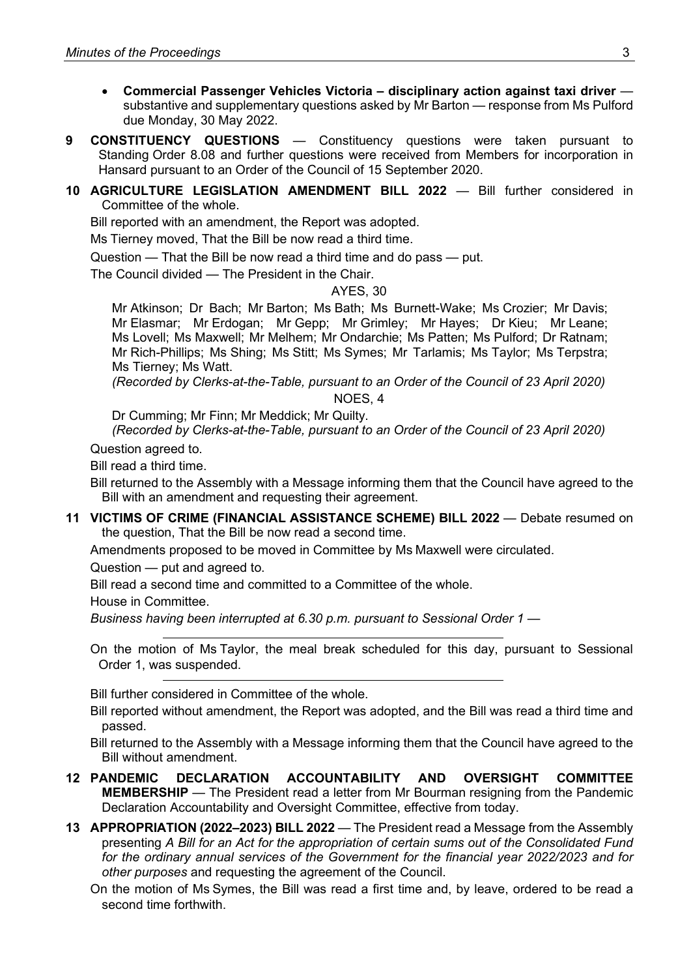- **Commercial Passenger Vehicles Victoria – disciplinary action against taxi driver** substantive and supplementary questions asked by Mr Barton — response from Ms Pulford due Monday, 30 May 2022.
- **9 CONSTITUENCY QUESTIONS** Constituency questions were taken pursuant to Standing Order 8.08 and further questions were received from Members for incorporation in Hansard pursuant to an Order of the Council of 15 September 2020.
- **10 AGRICULTURE LEGISLATION AMENDMENT BILL 2022** Bill further considered in Committee of the whole.

Bill reported with an amendment, the Report was adopted.

Ms Tierney moved, That the Bill be now read a third time.

Question — That the Bill be now read a third time and do pass — put.

The Council divided — The President in the Chair.

#### AYES, 30

Mr Atkinson; Dr Bach; Mr Barton; Ms Bath; Ms Burnett-Wake; Ms Crozier; Mr Davis; Mr Elasmar; Mr Erdogan; Mr Gepp; Mr Grimley; Mr Hayes; Dr Kieu; Mr Leane; Ms Lovell; Ms Maxwell; Mr Melhem; Mr Ondarchie; Ms Patten; Ms Pulford; Dr Ratnam; Mr Rich-Phillips; Ms Shing; Ms Stitt; Ms Symes; Mr Tarlamis; Ms Taylor; Ms Terpstra; Ms Tierney; Ms Watt.

*(Recorded by Clerks-at-the-Table, pursuant to an Order of the Council of 23 April 2020)*

NOES, 4

Dr Cumming; Mr Finn; Mr Meddick; Mr Quilty.

*(Recorded by Clerks-at-the-Table, pursuant to an Order of the Council of 23 April 2020)*

Question agreed to.

Bill read a third time.

Bill returned to the Assembly with a Message informing them that the Council have agreed to the Bill with an amendment and requesting their agreement.

**11 VICTIMS OF CRIME (FINANCIAL ASSISTANCE SCHEME) BILL 2022** — Debate resumed on the question, That the Bill be now read a second time.

Amendments proposed to be moved in Committee by Ms Maxwell were circulated.

Question — put and agreed to.

Bill read a second time and committed to a Committee of the whole.

House in Committee.

*Business having been interrupted at 6.30 p.m. pursuant to Sessional Order 1 —*

On the motion of Ms Taylor, the meal break scheduled for this day, pursuant to Sessional Order 1, was suspended.

Bill further considered in Committee of the whole.

Bill reported without amendment, the Report was adopted, and the Bill was read a third time and passed.

Bill returned to the Assembly with a Message informing them that the Council have agreed to the Bill without amendment.

- **12 PANDEMIC DECLARATION ACCOUNTABILITY AND OVERSIGHT COMMITTEE MEMBERSHIP** — The President read a letter from Mr Bourman resigning from the Pandemic Declaration Accountability and Oversight Committee, effective from today.
- **13 APPROPRIATION (2022–2023) BILL 2022** The President read a Message from the Assembly presenting *A Bill for an Act for the appropriation of certain sums out of the Consolidated Fund for the ordinary annual services of the Government for the financial year 2022/2023 and for other purposes* and requesting the agreement of the Council.
	- On the motion of Ms Symes, the Bill was read a first time and, by leave, ordered to be read a second time forthwith.